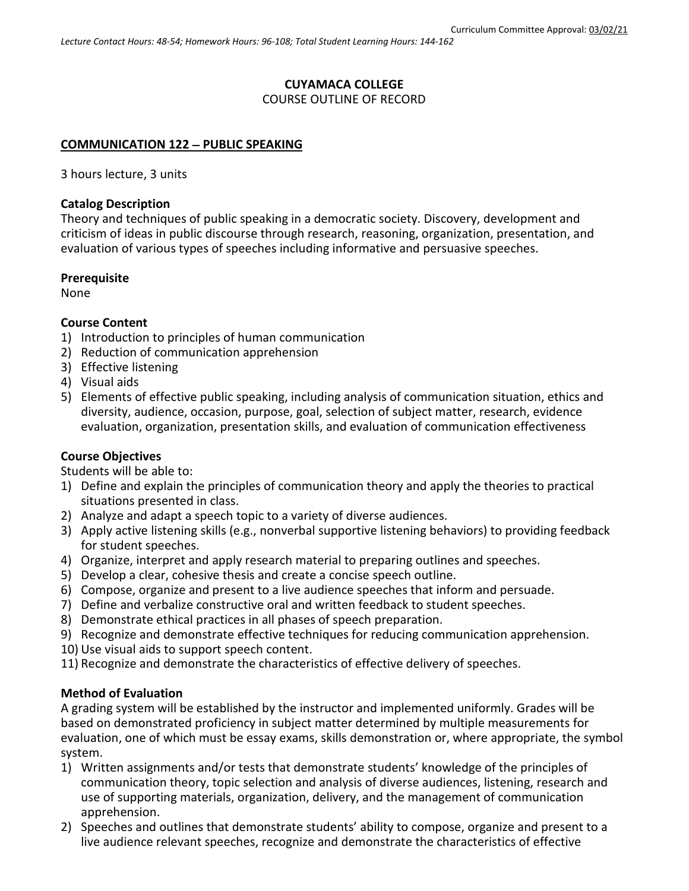#### **CUYAMACA COLLEGE** COURSE OUTLINE OF RECORD

# **COMMUNICATION 122** − **PUBLIC SPEAKING**

3 hours lecture, 3 units

#### **Catalog Description**

Theory and techniques of public speaking in a democratic society. Discovery, development and criticism of ideas in public discourse through research, reasoning, organization, presentation, and evaluation of various types of speeches including informative and persuasive speeches.

#### **Prerequisite**

None

## **Course Content**

- 1) Introduction to principles of human communication
- 2) Reduction of communication apprehension
- 3) Effective listening
- 4) Visual aids
- 5) Elements of effective public speaking, including analysis of communication situation, ethics and diversity, audience, occasion, purpose, goal, selection of subject matter, research, evidence evaluation, organization, presentation skills, and evaluation of communication effectiveness

## **Course Objectives**

Students will be able to:

- 1) Define and explain the principles of communication theory and apply the theories to practical situations presented in class.
- 2) Analyze and adapt a speech topic to a variety of diverse audiences.
- 3) Apply active listening skills (e.g., nonverbal supportive listening behaviors) to providing feedback for student speeches.
- 4) Organize, interpret and apply research material to preparing outlines and speeches.
- 5) Develop a clear, cohesive thesis and create a concise speech outline.
- 6) Compose, organize and present to a live audience speeches that inform and persuade.
- 7) Define and verbalize constructive oral and written feedback to student speeches.
- 8) Demonstrate ethical practices in all phases of speech preparation.
- 9) Recognize and demonstrate effective techniques for reducing communication apprehension.
- 10) Use visual aids to support speech content.
- 11) Recognize and demonstrate the characteristics of effective delivery of speeches.

## **Method of Evaluation**

A grading system will be established by the instructor and implemented uniformly. Grades will be based on demonstrated proficiency in subject matter determined by multiple measurements for evaluation, one of which must be essay exams, skills demonstration or, where appropriate, the symbol system.

- 1) Written assignments and/or tests that demonstrate students' knowledge of the principles of communication theory, topic selection and analysis of diverse audiences, listening, research and use of supporting materials, organization, delivery, and the management of communication apprehension.
- 2) Speeches and outlines that demonstrate students' ability to compose, organize and present to a live audience relevant speeches, recognize and demonstrate the characteristics of effective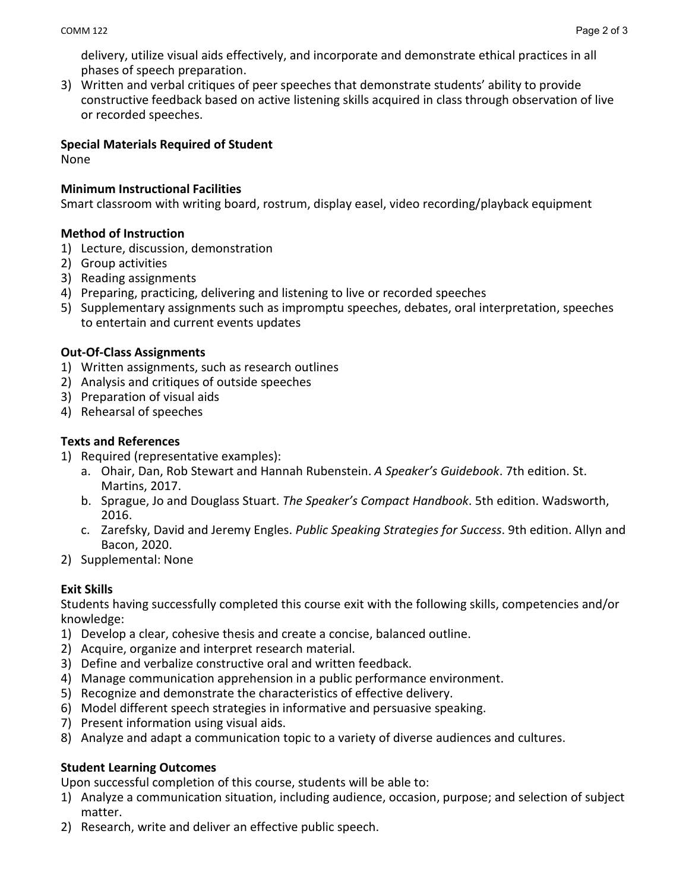delivery, utilize visual aids effectively, and incorporate and demonstrate ethical practices in all phases of speech preparation.

3) Written and verbal critiques of peer speeches that demonstrate students' ability to provide constructive feedback based on active listening skills acquired in class through observation of live or recorded speeches.

## **Special Materials Required of Student**

None

## **Minimum Instructional Facilities**

Smart classroom with writing board, rostrum, display easel, video recording/playback equipment

## **Method of Instruction**

- 1) Lecture, discussion, demonstration
- 2) Group activities
- 3) Reading assignments
- 4) Preparing, practicing, delivering and listening to live or recorded speeches
- 5) Supplementary assignments such as impromptu speeches, debates, oral interpretation, speeches to entertain and current events updates

## **Out-Of-Class Assignments**

- 1) Written assignments, such as research outlines
- 2) Analysis and critiques of outside speeches
- 3) Preparation of visual aids
- 4) Rehearsal of speeches

## **Texts and References**

- 1) Required (representative examples):
	- a. Ohair, Dan, Rob Stewart and Hannah Rubenstein. *A Speaker's Guidebook*. 7th edition. St. Martins, 2017.
	- b. Sprague, Jo and Douglass Stuart. *The Speaker's Compact Handbook*. 5th edition. Wadsworth, 2016.
	- c. Zarefsky, David and Jeremy Engles. *Public Speaking Strategies for Success*. 9th edition. Allyn and Bacon, 2020.
- 2) Supplemental: None

# **Exit Skills**

Students having successfully completed this course exit with the following skills, competencies and/or knowledge:

- 1) Develop a clear, cohesive thesis and create a concise, balanced outline.
- 2) Acquire, organize and interpret research material.
- 3) Define and verbalize constructive oral and written feedback.
- 4) Manage communication apprehension in a public performance environment.
- 5) Recognize and demonstrate the characteristics of effective delivery.
- 6) Model different speech strategies in informative and persuasive speaking.
- 7) Present information using visual aids.
- 8) Analyze and adapt a communication topic to a variety of diverse audiences and cultures.

## **Student Learning Outcomes**

Upon successful completion of this course, students will be able to:

- 1) Analyze a communication situation, including audience, occasion, purpose; and selection of subject matter.
- 2) Research, write and deliver an effective public speech.